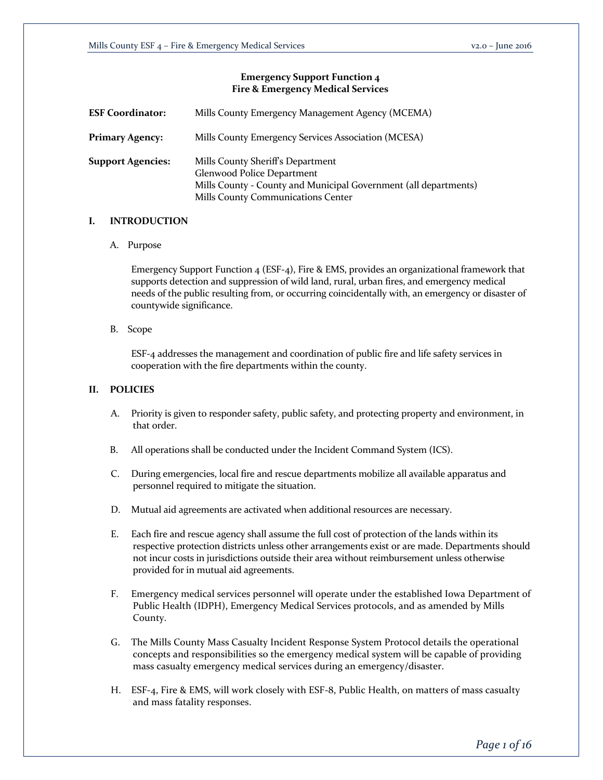# **Emergency Support Function 4 Fire & Emergency Medical Services**

| <b>ESF Coordinator:</b>  | Mills County Emergency Management Agency (MCEMA)                                                                                                                          |
|--------------------------|---------------------------------------------------------------------------------------------------------------------------------------------------------------------------|
| <b>Primary Agency:</b>   | Mills County Emergency Services Association (MCESA)                                                                                                                       |
| <b>Support Agencies:</b> | Mills County Sheriff's Department<br>Glenwood Police Department<br>Mills County - County and Municipal Government (all departments)<br>Mills County Communications Center |

## **I. INTRODUCTION**

A. Purpose

Emergency Support Function 4 (ESF-4), Fire & EMS, provides an organizational framework that supports detection and suppression of wild land, rural, urban fires, and emergency medical needs of the public resulting from, or occurring coincidentally with, an emergency or disaster of countywide significance.

B. Scope

ESF-4 addresses the management and coordination of public fire and life safety services in cooperation with the fire departments within the county.

# **II. POLICIES**

- A. Priority is given to responder safety, public safety, and protecting property and environment, in that order.
- B. All operations shall be conducted under the Incident Command System (ICS).
- C. During emergencies, local fire and rescue departments mobilize all available apparatus and personnel required to mitigate the situation.
- D. Mutual aid agreements are activated when additional resources are necessary.
- E. Each fire and rescue agency shall assume the full cost of protection of the lands within its respective protection districts unless other arrangements exist or are made. Departments should not incur costs in jurisdictions outside their area without reimbursement unless otherwise provided for in mutual aid agreements.
- F. Emergency medical services personnel will operate under the established Iowa Department of Public Health (IDPH), Emergency Medical Services protocols, and as amended by Mills County.
- G. The Mills County Mass Casualty Incident Response System Protocol details the operational concepts and responsibilities so the emergency medical system will be capable of providing mass casualty emergency medical services during an emergency/disaster.
- H. ESF-4, Fire & EMS, will work closely with ESF-8, Public Health, on matters of mass casualty and mass fatality responses.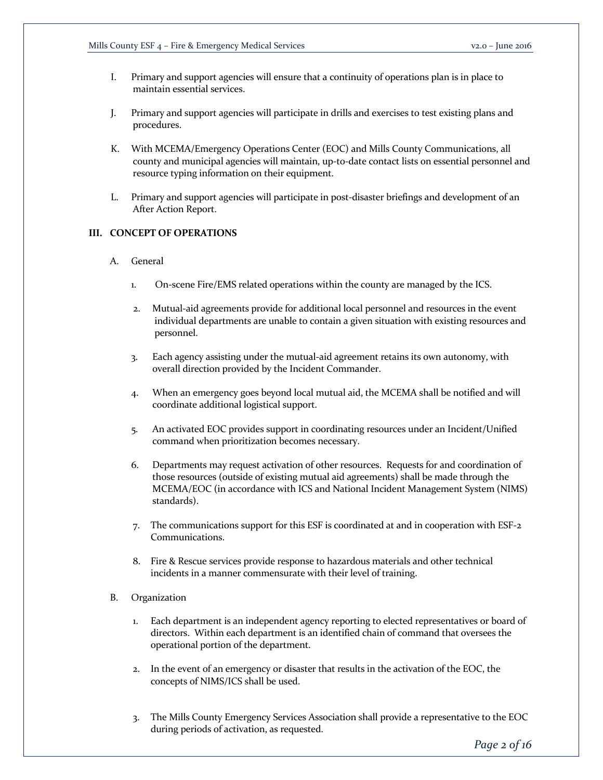- I. Primary and support agencies will ensure that a continuity of operations plan is in place to maintain essential services.
- J. Primary and support agencies will participate in drills and exercises to test existing plans and procedures.
- K. With MCEMA/Emergency Operations Center (EOC) and Mills County Communications, all county and municipal agencies will maintain, up-to-date contact lists on essential personnel and resource typing information on their equipment.
- L. Primary and support agencies will participate in post-disaster briefings and development of an After Action Report.

# **III. CONCEPT OF OPERATIONS**

- A. General
	- 1. On-scene Fire/EMS related operations within the county are managed by the ICS.
	- 2. Mutual-aid agreements provide for additional local personnel and resources in the event individual departments are unable to contain a given situation with existing resources and personnel.
	- 3. Each agency assisting under the mutual-aid agreement retains its own autonomy, with overall direction provided by the Incident Commander.
	- 4. When an emergency goes beyond local mutual aid, the MCEMA shall be notified and will coordinate additional logistical support.
	- 5. An activated EOC provides support in coordinating resources under an Incident/Unified command when prioritization becomes necessary.
	- 6. Departments may request activation of other resources. Requests for and coordination of those resources (outside of existing mutual aid agreements) shall be made through the MCEMA/EOC (in accordance with ICS and National Incident Management System (NIMS) standards).
	- 7. The communications support for this ESF is coordinated at and in cooperation with ESF-2 Communications.
	- 8. Fire & Rescue services provide response to hazardous materials and other technical incidents in a manner commensurate with their level of training.

# B. Organization

- 1. Each department is an independent agency reporting to elected representatives or board of directors. Within each department is an identified chain of command that oversees the operational portion of the department.
- 2. In the event of an emergency or disaster that results in the activation of the EOC, the concepts of NIMS/ICS shall be used.
- 3. The Mills County Emergency Services Association shall provide a representative to the EOC during periods of activation, as requested.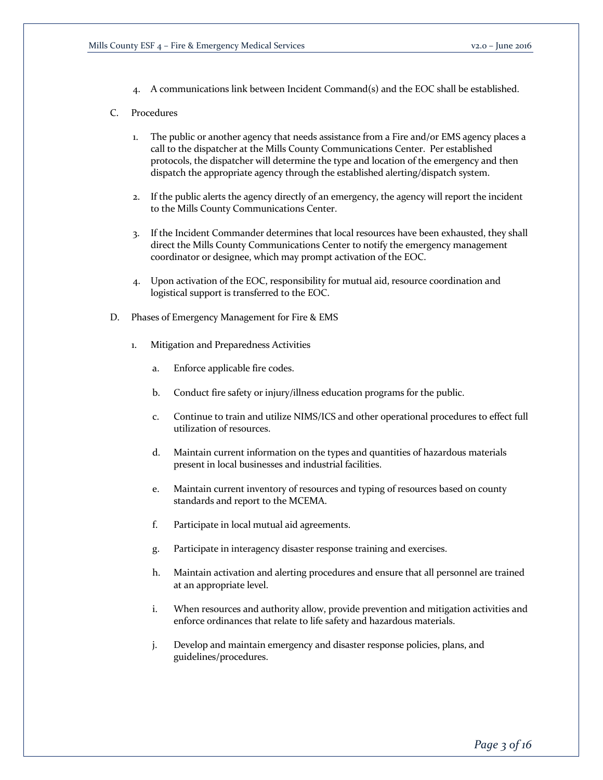4. A communications link between Incident Command(s) and the EOC shall be established.

# C. Procedures

- 1. The public or another agency that needs assistance from a Fire and/or EMS agency places a call to the dispatcher at the Mills County Communications Center. Per established protocols, the dispatcher will determine the type and location of the emergency and then dispatch the appropriate agency through the established alerting/dispatch system.
- 2. If the public alerts the agency directly of an emergency, the agency will report the incident to the Mills County Communications Center.
- 3. If the Incident Commander determines that local resources have been exhausted, they shall direct the Mills County Communications Center to notify the emergency management coordinator or designee, which may prompt activation of the EOC.
- 4. Upon activation of the EOC, responsibility for mutual aid, resource coordination and logistical support is transferred to the EOC.
- D. Phases of Emergency Management for Fire & EMS
	- 1. Mitigation and Preparedness Activities
		- a. Enforce applicable fire codes.
		- b. Conduct fire safety or injury/illness education programs for the public.
		- c. Continue to train and utilize NIMS/ICS and other operational procedures to effect full utilization of resources.
		- d. Maintain current information on the types and quantities of hazardous materials present in local businesses and industrial facilities.
		- e. Maintain current inventory of resources and typing of resources based on county standards and report to the MCEMA.
		- f. Participate in local mutual aid agreements.
		- g. Participate in interagency disaster response training and exercises.
		- h. Maintain activation and alerting procedures and ensure that all personnel are trained at an appropriate level.
		- i. When resources and authority allow, provide prevention and mitigation activities and enforce ordinances that relate to life safety and hazardous materials.
		- j. Develop and maintain emergency and disaster response policies, plans, and guidelines/procedures.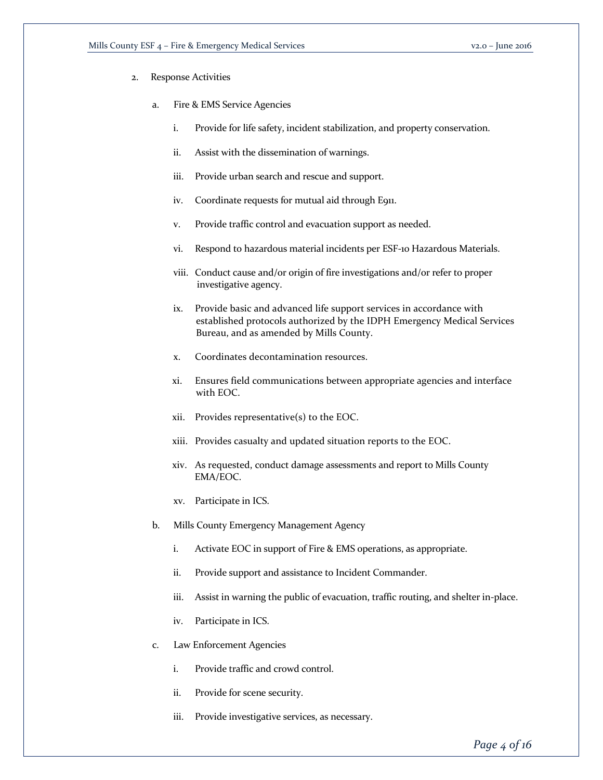- 2. Response Activities
	- a. Fire & EMS Service Agencies
		- i. Provide for life safety, incident stabilization, and property conservation.
		- ii. Assist with the dissemination of warnings.
		- iii. Provide urban search and rescue and support.
		- iv. Coordinate requests for mutual aid through E911.
		- v. Provide traffic control and evacuation support as needed.
		- vi. Respond to hazardous material incidents per ESF-10 Hazardous Materials.
		- viii. Conduct cause and/or origin of fire investigations and/or refer to proper investigative agency.
		- ix. Provide basic and advanced life support services in accordance with established protocols authorized by the IDPH Emergency Medical Services Bureau, and as amended by Mills County.
		- x. Coordinates decontamination resources.
		- xi. Ensures field communications between appropriate agencies and interface with EOC.
		- xii. Provides representative(s) to the EOC.
		- xiii. Provides casualty and updated situation reports to the EOC.
		- xiv. As requested, conduct damage assessments and report to Mills County EMA/EOC.
		- xv. Participate in ICS.
	- b. Mills County Emergency Management Agency
		- i. Activate EOC in support of Fire & EMS operations, as appropriate.
		- ii. Provide support and assistance to Incident Commander.
		- iii. Assist in warning the public of evacuation, traffic routing, and shelter in-place.
		- iv. Participate in ICS.
	- c. Law Enforcement Agencies
		- i. Provide traffic and crowd control.
		- ii. Provide for scene security.
		- iii. Provide investigative services, as necessary.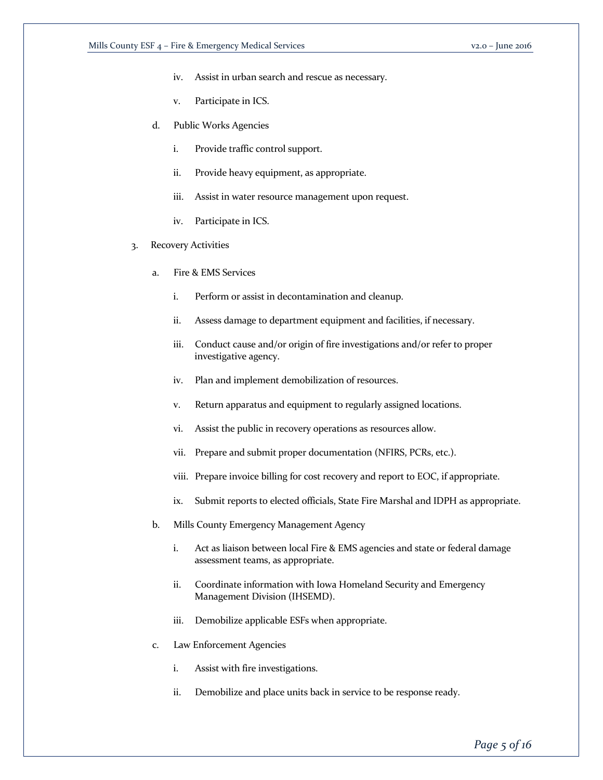- iv. Assist in urban search and rescue as necessary.
- v. Participate in ICS.
- d. Public Works Agencies
	- i. Provide traffic control support.
	- ii. Provide heavy equipment, as appropriate.
	- iii. Assist in water resource management upon request.
	- iv. Participate in ICS.
- 3. Recovery Activities
	- a. Fire & EMS Services
		- i. Perform or assist in decontamination and cleanup.
		- ii. Assess damage to department equipment and facilities, if necessary.
		- iii. Conduct cause and/or origin of fire investigations and/or refer to proper investigative agency.
		- iv. Plan and implement demobilization of resources.
		- v. Return apparatus and equipment to regularly assigned locations.
		- vi. Assist the public in recovery operations as resources allow.
		- vii. Prepare and submit proper documentation (NFIRS, PCRs, etc.).
		- viii. Prepare invoice billing for cost recovery and report to EOC, if appropriate.
		- ix. Submit reports to elected officials, State Fire Marshal and IDPH as appropriate.
	- b. Mills County Emergency Management Agency
		- i. Act as liaison between local Fire & EMS agencies and state or federal damage assessment teams, as appropriate.
		- ii. Coordinate information with Iowa Homeland Security and Emergency Management Division (IHSEMD).
		- iii. Demobilize applicable ESFs when appropriate.
	- c. Law Enforcement Agencies
		- i. Assist with fire investigations.
		- ii. Demobilize and place units back in service to be response ready.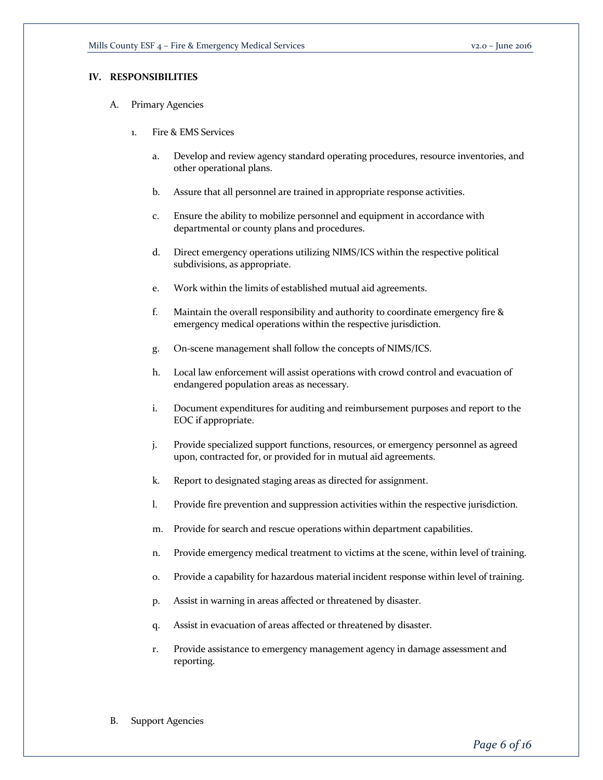# **IV. RESPONSIBILITIES**

- A. Primary Agencies
	- 1. Fire & EMS Services
		- a. Develop and review agency standard operating procedures, resource inventories, and other operational plans.
		- b. Assure that all personnel are trained in appropriate response activities.
		- c. Ensure the ability to mobilize personnel and equipment in accordance with departmental or county plans and procedures.
		- d. Direct emergency operations utilizing NIMS/ICS within the respective political subdivisions, as appropriate.
		- e. Work within the limits of established mutual aid agreements.
		- f. Maintain the overall responsibility and authority to coordinate emergency fire & emergency medical operations within the respective jurisdiction.
		- g. On-scene management shall follow the concepts of NIMS/ICS.
		- h. Local law enforcement will assist operations with crowd control and evacuation of endangered population areas as necessary.
		- i. Document expenditures for auditing and reimbursement purposes and report to the EOC if appropriate.
		- j. Provide specialized support functions, resources, or emergency personnel as agreed upon, contracted for, or provided for in mutual aid agreements.
		- k. Report to designated staging areas as directed for assignment.
		- l. Provide fire prevention and suppression activities within the respective jurisdiction.
		- m. Provide for search and rescue operations within department capabilities.
		- n. Provide emergency medical treatment to victims at the scene, within level of training.
		- o. Provide a capability for hazardous material incident response within level of training.
		- p. Assist in warning in areas affected or threatened by disaster.
		- q. Assist in evacuation of areas affected or threatened by disaster.
		- r. Provide assistance to emergency management agency in damage assessment and reporting.
- B. Support Agencies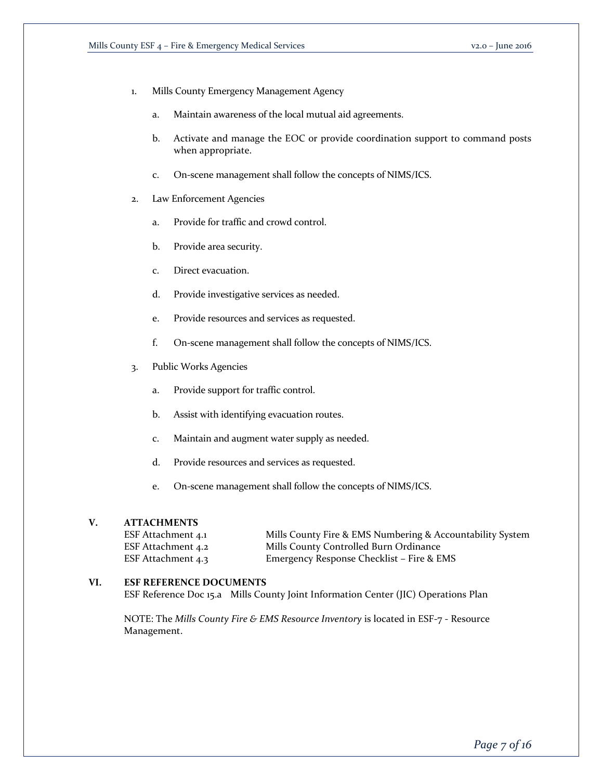- 1. Mills County Emergency Management Agency
	- a. Maintain awareness of the local mutual aid agreements.
	- b. Activate and manage the EOC or provide coordination support to command posts when appropriate.
	- c. On-scene management shall follow the concepts of NIMS/ICS.
- 2. Law Enforcement Agencies
	- a. Provide for traffic and crowd control.
	- b. Provide area security.
	- c. Direct evacuation.
	- d. Provide investigative services as needed.
	- e. Provide resources and services as requested.
	- f. On-scene management shall follow the concepts of NIMS/ICS.
- 3. Public Works Agencies
	- a. Provide support for traffic control.
	- b. Assist with identifying evacuation routes.
	- c. Maintain and augment water supply as needed.
	- d. Provide resources and services as requested.
	- e. On-scene management shall follow the concepts of NIMS/ICS.

# **V. ATTACHMENTS**

| ESF Attachment 4.1 | Mills County Fire & EMS Numbering & Accountability System |
|--------------------|-----------------------------------------------------------|
| ESF Attachment 4.2 | Mills County Controlled Burn Ordinance                    |
| ESF Attachment 4.3 | Emergency Response Checklist – Fire & EMS                 |

# **VI. ESF REFERENCE DOCUMENTS**

ESF Reference Doc 15.a Mills County Joint Information Center (JIC) Operations Plan

NOTE: The *Mills County Fire & EMS Resource Inventory* is located in ESF-7 - Resource Management.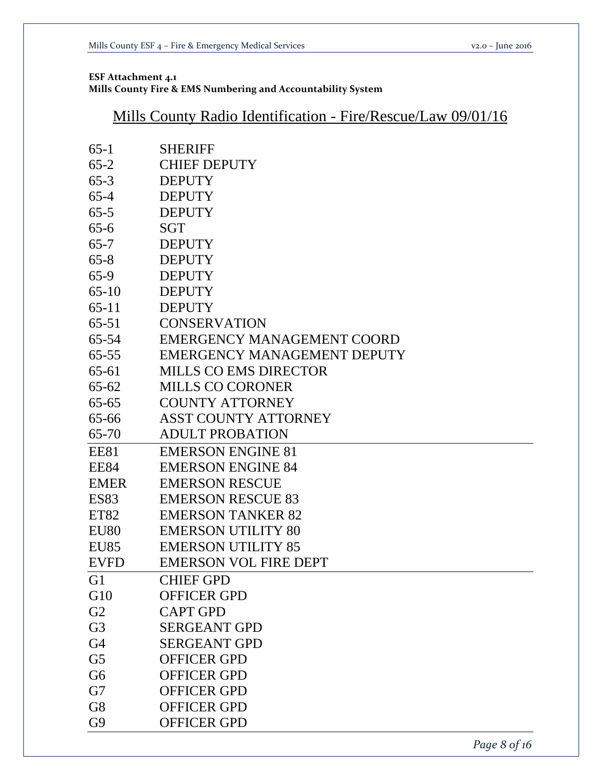# **ESF Attachment 4.1 Mills County Fire & EMS Numbering and Accountability System**

# Mills County Radio Identification - Fire/Rescue/Law 09/01/16

| $65-1$           | <b>SHERIFF</b>                    |
|------------------|-----------------------------------|
| $65-2$           | <b>CHIEF DEPUTY</b>               |
| $65 - 3$         | <b>DEPUTY</b>                     |
| $65 - 4$         | <b>DEPUTY</b>                     |
| $65 - 5$         | <b>DEPUTY</b>                     |
| $65 - 6$         | SGT                               |
| $65 - 7$         | <b>DEPUTY</b>                     |
| $65 - 8$         | <b>DEPUTY</b>                     |
| $65-9$           | <b>DEPUTY</b>                     |
| $65-10$          | <b>DEPUTY</b>                     |
| $65-11$          | <b>DEPUTY</b>                     |
| $65 - 51$        | <b>CONSERVATION</b>               |
| 65-54            | <b>EMERGENCY MANAGEMENT COORD</b> |
| $65 - 55$        | EMERGENCY MANAGEMENT DEPUTY       |
| $65 - 61$        | <b>MILLS CO EMS DIRECTOR</b>      |
| $65 - 62$        | <b>MILLS CO CORONER</b>           |
| $65 - 65$        | <b>COUNTY ATTORNEY</b>            |
| 65-66            | <b>ASST COUNTY ATTORNEY</b>       |
| 65-70            | <b>ADULT PROBATION</b>            |
| <b>EE81</b>      | <b>EMERSON ENGINE 81</b>          |
| <b>EE84</b>      | <b>EMERSON ENGINE 84</b>          |
| <b>EMER</b>      | <b>EMERSON RESCUE</b>             |
| <b>ES83</b>      | <b>EMERSON RESCUE 83</b>          |
| ET82             | <b>EMERSON TANKER 82</b>          |
| EU <sub>80</sub> | <b>EMERSON UTILITY 80</b>         |
| <b>EU85</b>      | <b>EMERSON UTILITY 85</b>         |
| <b>EVFD</b>      | <b>EMERSON VOL FIRE DEPT</b>      |
| G1               | <b>CHIEF GPD</b>                  |
| G10              | <b>OFFICER GPD</b>                |
| G2               | <b>CAPT GPD</b>                   |
| G <sub>3</sub>   | <b>SERGEANT GPD</b>               |
| G4               | <b>SERGEANT GPD</b>               |
| G <sub>5</sub>   | <b>OFFICER GPD</b>                |
| G6               | <b>OFFICER GPD</b>                |
| G7               | <b>OFFICER GPD</b>                |
| G8               | <b>OFFICER GPD</b>                |
| G9               | <b>OFFICER GPD</b>                |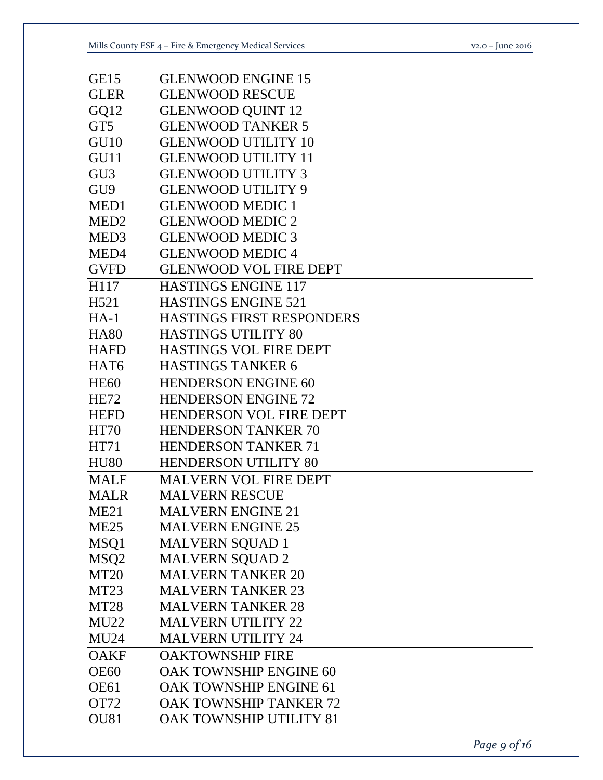| GE15             | <b>GLENWOOD ENGINE 15</b>        |
|------------------|----------------------------------|
| <b>GLER</b>      | <b>GLENWOOD RESCUE</b>           |
| GQ12             | <b>GLENWOOD QUINT 12</b>         |
| GT5              | <b>GLENWOOD TANKER 5</b>         |
| GU <sub>10</sub> | <b>GLENWOOD UTILITY 10</b>       |
| GU11             | <b>GLENWOOD UTILITY 11</b>       |
| GU <sub>3</sub>  | <b>GLENWOOD UTILITY 3</b>        |
| GU <sub>9</sub>  | <b>GLENWOOD UTILITY 9</b>        |
| MED1             | <b>GLENWOOD MEDIC 1</b>          |
| MED <sub>2</sub> | <b>GLENWOOD MEDIC 2</b>          |
| MED <sub>3</sub> | <b>GLENWOOD MEDIC 3</b>          |
| MED4             | <b>GLENWOOD MEDIC4</b>           |
| <b>GVFD</b>      | <b>GLENWOOD VOL FIRE DEPT</b>    |
| H117             | <b>HASTINGS ENGINE 117</b>       |
| H <sub>521</sub> | <b>HASTINGS ENGINE 521</b>       |
| $HA-1$           | <b>HASTINGS FIRST RESPONDERS</b> |
| <b>HA80</b>      | <b>HASTINGS UTILITY 80</b>       |
| <b>HAFD</b>      | <b>HASTINGS VOL FIRE DEPT</b>    |
| HAT <sub>6</sub> | <b>HASTINGS TANKER 6</b>         |
| <b>HE60</b>      | <b>HENDERSON ENGINE 60</b>       |
| <b>HE72</b>      | <b>HENDERSON ENGINE 72</b>       |
| <b>HEFD</b>      | <b>HENDERSON VOL FIRE DEPT</b>   |
| <b>HT70</b>      | <b>HENDERSON TANKER 70</b>       |
| HT71             | <b>HENDERSON TANKER 71</b>       |
| <b>HU80</b>      | <b>HENDERSON UTILITY 80</b>      |
| <b>MALF</b>      | <b>MALVERN VOL FIRE DEPT</b>     |
| <b>MALR</b>      | <b>MALVERN RESCUE</b>            |
| ME <sub>21</sub> | <b>MALVERN ENGINE 21</b>         |
| <b>ME25</b>      | <b>MALVERN ENGINE 25</b>         |
| MSQ1             | MALVERN SQUAD 1                  |
| MSQ <sub>2</sub> | <b>MALVERN SQUAD 2</b>           |
| <b>MT20</b>      | <b>MALVERN TANKER 20</b>         |
| MT <sub>23</sub> | <b>MALVERN TANKER 23</b>         |
| <b>MT28</b>      | <b>MALVERN TANKER 28</b>         |
| <b>MU22</b>      | <b>MALVERN UTILITY 22</b>        |
| <b>MU24</b>      | <b>MALVERN UTILITY 24</b>        |
| <b>OAKF</b>      | <b>OAKTOWNSHIP FIRE</b>          |
| <b>OE60</b>      | <b>OAK TOWNSHIP ENGINE 60</b>    |
| <b>OE61</b>      | OAK TOWNSHIP ENGINE 61           |
| OT72             | OAK TOWNSHIP TANKER 72           |
| <b>OU81</b>      | OAK TOWNSHIP UTILITY 81          |
|                  |                                  |

*Page 9 of 16*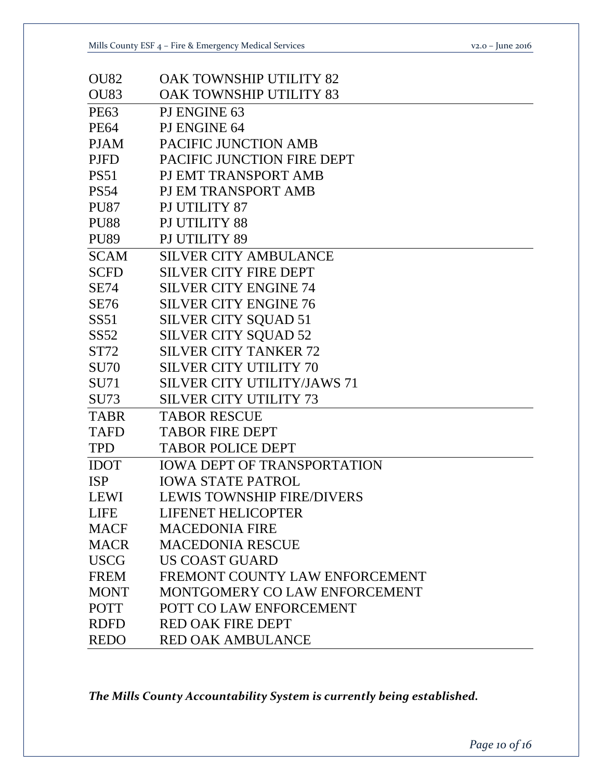|  | $v_{2.0}$ – June 2016 |
|--|-----------------------|
|--|-----------------------|

| <b>OU82</b>      | <b>OAK TOWNSHIP UTILITY 82</b>     |
|------------------|------------------------------------|
| <b>OU83</b>      | <b>OAK TOWNSHIP UTILITY 83</b>     |
| <b>PE63</b>      | PJ ENGINE 63                       |
| <b>PE64</b>      | PJ ENGINE 64                       |
| <b>PJAM</b>      | PACIFIC JUNCTION AMB               |
| <b>PJFD</b>      | PACIFIC JUNCTION FIRE DEPT         |
| <b>PS51</b>      | PJ EMT TRANSPORT AMB               |
| <b>PS54</b>      | PJ EM TRANSPORT AMB                |
| <b>PU87</b>      | PJ UTILITY 87                      |
| <b>PU88</b>      | PJ UTILITY 88                      |
| <b>PU89</b>      | PJ UTILITY 89                      |
| <b>SCAM</b>      | <b>SILVER CITY AMBULANCE</b>       |
| <b>SCFD</b>      | <b>SILVER CITY FIRE DEPT</b>       |
| <b>SE74</b>      | <b>SILVER CITY ENGINE 74</b>       |
| <b>SE76</b>      | <b>SILVER CITY ENGINE 76</b>       |
| SS51             | <b>SILVER CITY SQUAD 51</b>        |
| SS <sub>52</sub> | <b>SILVER CITY SQUAD 52</b>        |
| ST72             | <b>SILVER CITY TANKER 72</b>       |
| <b>SU70</b>      | <b>SILVER CITY UTILITY 70</b>      |
| <b>SU71</b>      | <b>SILVER CITY UTILITY/JAWS 71</b> |
| <b>SU73</b>      | <b>SILVER CITY UTILITY 73</b>      |
| <b>TABR</b>      | <b>TABOR RESCUE</b>                |
| <b>TAFD</b>      | <b>TABOR FIRE DEPT</b>             |
| <b>TPD</b>       | <b>TABOR POLICE DEPT</b>           |
| <b>IDOT</b>      | <b>IOWA DEPT OF TRANSPORTATION</b> |
| <b>ISP</b>       | <b>IOWA STATE PATROL</b>           |
| <b>LEWI</b>      | <b>LEWIS TOWNSHIP FIRE/DIVERS</b>  |
| <b>LIFE</b>      | <b>LIFENET HELICOPTER</b>          |
| <b>MACF</b>      | <b>MACEDONIA FIRE</b>              |
| <b>MACR</b>      | <b>MACEDONIA RESCUE</b>            |
| <b>USCG</b>      | <b>US COAST GUARD</b>              |
| <b>FREM</b>      | FREMONT COUNTY LAW ENFORCEMENT     |
| <b>MONT</b>      | MONTGOMERY CO LAW ENFORCEMENT      |
| <b>POTT</b>      | POTT CO LAW ENFORCEMENT            |
| <b>RDFD</b>      | <b>RED OAK FIRE DEPT</b>           |
| <b>REDO</b>      | <b>RED OAK AMBULANCE</b>           |

*The Mills County Accountability System is currently being established.*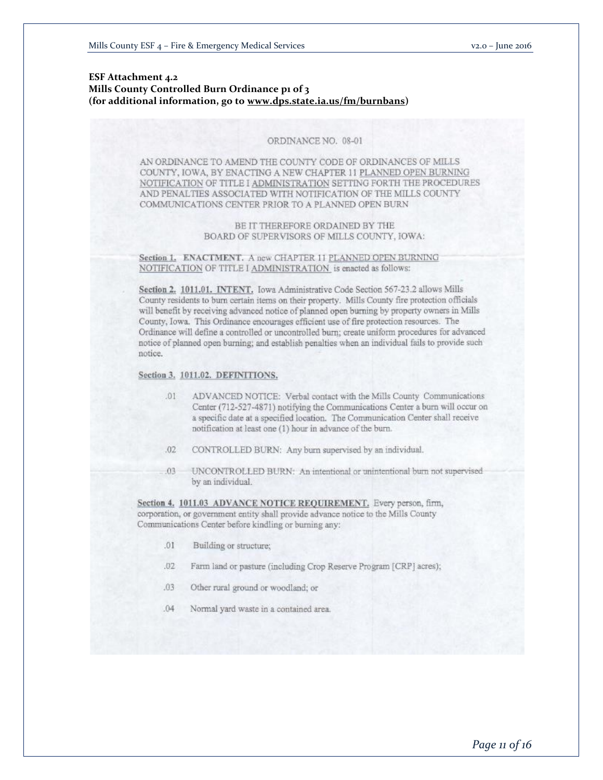# **ESF Attachment 4.2 Mills County Controlled Burn Ordinance p1 of 3 (for additional information, go to www.dps.state.ia.us/fm/burnbans)**

#### ORDINANCE NO. 08-01

AN ORDINANCE TO AMEND THE COUNTY CODE OF ORDINANCES OF MILLS COUNTY, IOWA, BY ENACTING A NEW CHAPTER 11 PLANNED OPEN BURNING NOTIFICATION OF TITLE I ADMINISTRATION SETTING FORTH THE PROCEDURES AND PENALTIES ASSOCIATED WITH NOTIFICATION OF THE MILLS COUNTY COMMUNICATIONS CENTER PRIOR TO A PLANNED OPEN BURN

#### BE IT THEREFORE ORDAINED BY THE BOARD OF SUPERVISORS OF MILLS COUNTY, IOWA:

Section 1. ENACTMENT. A new CHAPTER 11 PLANNED OPEN BURNING NOTIFICATION OF TITLE I ADMINISTRATION is enacted as follows:

Section 2. 1011.01. INTENT. Iowa Administrative Code Section 567-23.2 allows Mills County residents to burn certain items on their property. Mills County fire protection officials will benefit by receiving advanced notice of planned open burning by property owners in Mills County, Iowa. This Ordinance encourages efficient use of fire protection resources. The Ordinance will define a controlled or uncontrolled burn; create uniform procedures for advanced notice of planned open burning; and establish penalties when an individual fails to provide such notice.

#### Section 3. 1011.02. DEFINITIONS.

- ADVANCED NOTICE: Verbal contact with the Mills County Communications  $.01$ Center (712-527-4871) notifying the Communications Center a burn will occur on a specific date at a specified location. The Communication Center shall receive notification at least one (1) hour in advance of the burn.
- $.02.$ CONTROLLED BURN: Any burn supervised by an individual.
- .03 UNCONTROLLED BURN: An intentional or unintentional burn not supervised by an individual.

Section 4, 1011.03 ADVANCE NOTICE REQUIREMENT. Every person, firm, corporation, or government entity shall provide advance notice to the Mills County Communications Center before kindling or burning any:

- $.01$ Building or structure;
- $.02 -$ Farm land or pasture (including Crop Reserve Program [CRP] acres);
- Other rural ground or woodland; or  $.03 -$
- $.04$ Normal yard waste in a contained area.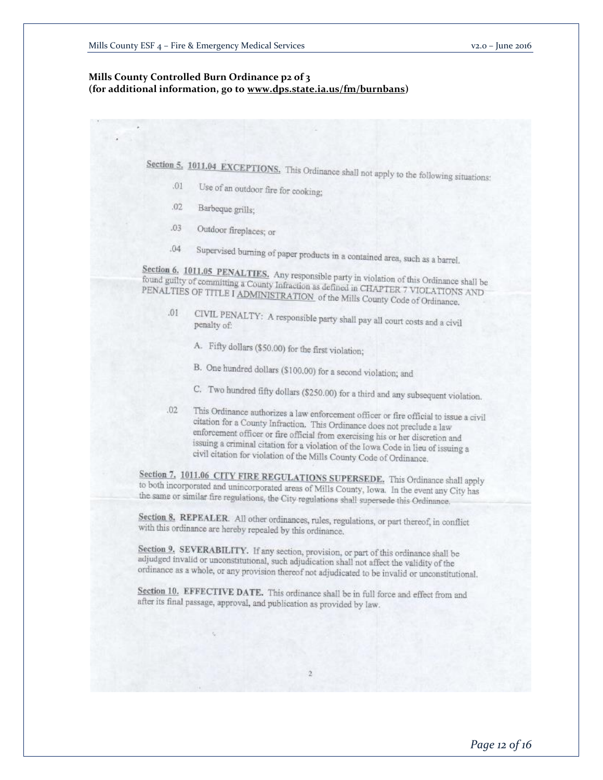# **Mills County Controlled Burn Ordinance p2 of 3 (for additional information, go to www.dps.state.ia.us/fm/burnbans)**

Section 5. 1011.04 EXCEPTIONS. This Ordinance shall not apply to the following situations:

- Use of an outdoor fire for cooking;  $.01$
- $.02$ Barbeque grills;
- $.03 -$ Outdoor fireplaces; or
- Supervised burning of paper products in a contained area, such as a barrel.  $.04$

Section 6. 1011.05 PENALTIES. Any responsible party in violation of this Ordinance shall be<br>found guilty of committing a County Infraction as defined in CHAPTER 2, 1901. found guilty of committing a County Infraction as defined in CHAPTER 7 VIOLATIONS AND<br>PENALTIES OF TITLE I ADMINISTRATION of the Mille County Code at 0.0 AND PENALTIES OF TITLE I ADMINISTRATION of the Mills County Code of Ordinance.

- CIVIL PENALTY: A responsible party shall pay all court costs and a civil penalty of:  $.01$ penalty of:
	- A. Fifty dollars (\$50.00) for the first violation;
	- B. One hundred dollars (\$100,00) for a second violation; and
	- C. Two hundred fifty dollars (\$250.00) for a third and any subsequent violation.
- This Ordinance authorizes a law enforcement officer or fire official to issue a civil<br>citation for a County Infrastion TR is County of the county of the county of the county of the county of the county of the county of the  $.02$ citation for a County Infraction. This Ordinance does not preclude a law enforcement officer or fire official from exercising his or her discretion and issuing a criminal citation for a violation of the Iowa Code in lieu of issuing a<br>citation for aircraft of the Iowa Code in lieu of issuing a civil citation for violation of the Mills County Code of Ordinance.

Section 7. 1011.06 CITY FIRE REGULATIONS SUPERSEDE. This Ordinance shall apply to both incorporated and unincorporated to both incorporated and unincorporated areas of Mills County, Iowa. In the event any City has the same or similar fire regulations, the City regulations shall supersede this Ordinance.

Section 8, REPEALER. All other ordinances, rules, regulations, or part thereof, in conflict with this ordinance are hereby repealed by this ordinance.

Section 9, SEVERABILITY. If any section, provision, or part of this ordinance shall be adjudged invalid or unconstitutional such as the section of this ordinance shall be adjudged invalid or unconstitutional, such adjudication shall not affect the validity of the ordinance as a whole, or any provision thereof not adjudicated to be invalid or unconstitutional.

Section 10. EFFECTIVE DATE. This ordinance shall be in full force and effect from and after its final passage, approval, and publication as provided by law.

 $\overline{2}$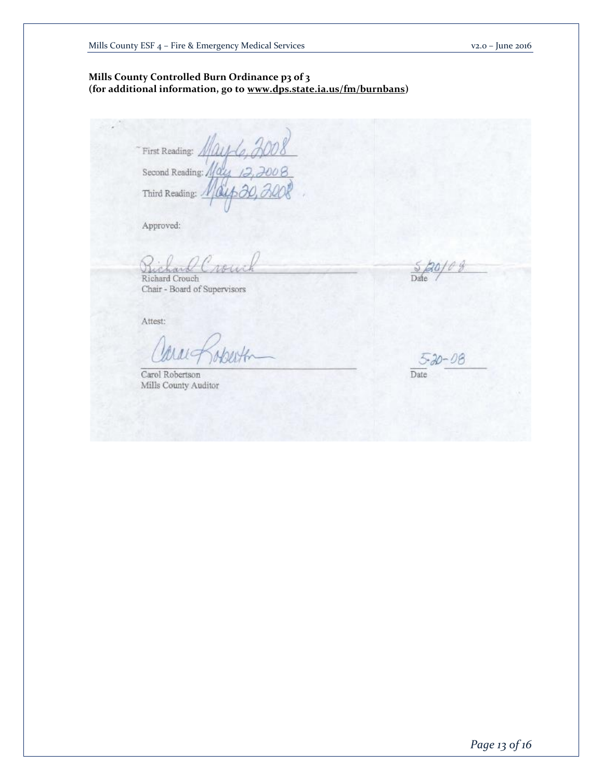# **Mills County Controlled Burn Ordinance p3 of 3 (for additional information, go to www.dps.state.ia.us/fm/burnbans)**

First Reading: 1 Second Reading: 110 Third Reading:

Approved:

Richard Crouch

Chair - Board of Supervisors

Attest:

Carol Robertson Mills County Auditor

Dat

Date

*Page 13 of 16*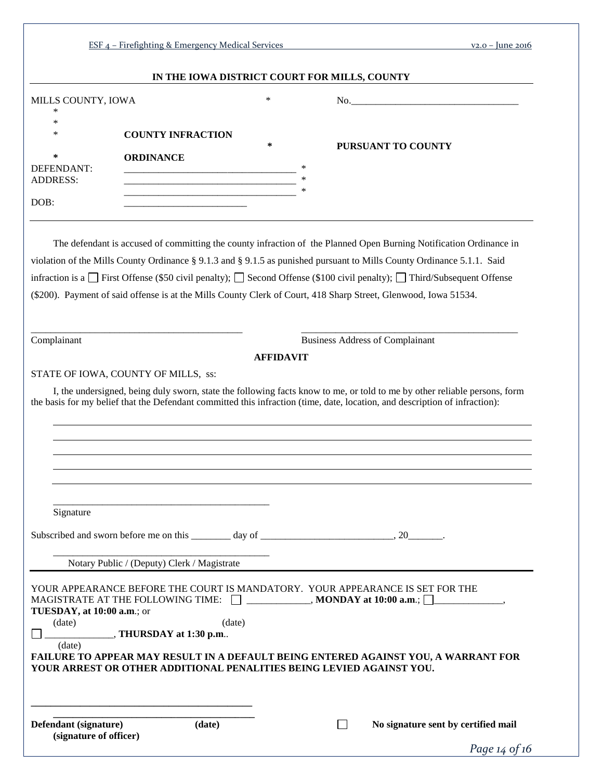|                                                                       |                                                 |                  | IN THE IOWA DISTRICT COURT FOR MILLS, COUNTY                                                                                                                                                                                                                                                                                                                                                                                                                                                               |
|-----------------------------------------------------------------------|-------------------------------------------------|------------------|------------------------------------------------------------------------------------------------------------------------------------------------------------------------------------------------------------------------------------------------------------------------------------------------------------------------------------------------------------------------------------------------------------------------------------------------------------------------------------------------------------|
| MILLS COUNTY, IOWA                                                    |                                                 | $\ast$           |                                                                                                                                                                                                                                                                                                                                                                                                                                                                                                            |
| ∗<br>$\ast$<br>$\ast$<br><b>DEFENDANT:</b><br><b>ADDRESS:</b><br>DOB: | <b>COUNTY INFRACTION</b><br><b>ORDINANCE</b>    | $\ast$<br>$\ast$ | PURSUANT TO COUNTY                                                                                                                                                                                                                                                                                                                                                                                                                                                                                         |
|                                                                       |                                                 |                  | The defendant is accused of committing the county infraction of the Planned Open Burning Notification Ordinance in<br>violation of the Mills County Ordinance § 9.1.3 and § 9.1.5 as punished pursuant to Mills County Ordinance 5.1.1. Said<br>infraction is a $\Box$ First Offense (\$50 civil penalty); $\Box$ Second Offense (\$100 civil penalty); $\Box$ Third/Subsequent Offense<br>(\$200). Payment of said offense is at the Mills County Clerk of Court, 418 Sharp Street, Glenwood, Iowa 51534. |
| Complainant                                                           |                                                 |                  | <b>Business Address of Complainant</b>                                                                                                                                                                                                                                                                                                                                                                                                                                                                     |
|                                                                       |                                                 | <b>AFFIDAVIT</b> |                                                                                                                                                                                                                                                                                                                                                                                                                                                                                                            |
|                                                                       | STATE OF IOWA, COUNTY OF MILLS, ss:             |                  |                                                                                                                                                                                                                                                                                                                                                                                                                                                                                                            |
|                                                                       |                                                 |                  | I, the undersigned, being duly sworn, state the following facts know to me, or told to me by other reliable persons, form                                                                                                                                                                                                                                                                                                                                                                                  |
|                                                                       |                                                 |                  |                                                                                                                                                                                                                                                                                                                                                                                                                                                                                                            |
|                                                                       |                                                 |                  |                                                                                                                                                                                                                                                                                                                                                                                                                                                                                                            |
|                                                                       |                                                 |                  | the basis for my belief that the Defendant committed this infraction (time, date, location, and description of infraction):                                                                                                                                                                                                                                                                                                                                                                                |
|                                                                       |                                                 |                  |                                                                                                                                                                                                                                                                                                                                                                                                                                                                                                            |
|                                                                       |                                                 |                  |                                                                                                                                                                                                                                                                                                                                                                                                                                                                                                            |
|                                                                       |                                                 |                  |                                                                                                                                                                                                                                                                                                                                                                                                                                                                                                            |
|                                                                       |                                                 |                  |                                                                                                                                                                                                                                                                                                                                                                                                                                                                                                            |
|                                                                       |                                                 |                  |                                                                                                                                                                                                                                                                                                                                                                                                                                                                                                            |
|                                                                       |                                                 |                  |                                                                                                                                                                                                                                                                                                                                                                                                                                                                                                            |
|                                                                       |                                                 |                  |                                                                                                                                                                                                                                                                                                                                                                                                                                                                                                            |
| Signature                                                             |                                                 |                  |                                                                                                                                                                                                                                                                                                                                                                                                                                                                                                            |
|                                                                       |                                                 |                  |                                                                                                                                                                                                                                                                                                                                                                                                                                                                                                            |
|                                                                       |                                                 |                  |                                                                                                                                                                                                                                                                                                                                                                                                                                                                                                            |
|                                                                       |                                                 |                  |                                                                                                                                                                                                                                                                                                                                                                                                                                                                                                            |
|                                                                       | Notary Public / (Deputy) Clerk / Magistrate     |                  |                                                                                                                                                                                                                                                                                                                                                                                                                                                                                                            |
|                                                                       |                                                 |                  |                                                                                                                                                                                                                                                                                                                                                                                                                                                                                                            |
|                                                                       |                                                 |                  | YOUR APPEARANCE BEFORE THE COURT IS MANDATORY. YOUR APPEARANCE IS SET FOR THE                                                                                                                                                                                                                                                                                                                                                                                                                              |
|                                                                       |                                                 |                  | MAGISTRATE AT THE FOLLOWING TIME: $\Box$ ___________, MONDAY at 10:00 a.m.; $\Box$ __________,                                                                                                                                                                                                                                                                                                                                                                                                             |
| TUESDAY, at 10:00 a.m.; or                                            |                                                 |                  |                                                                                                                                                                                                                                                                                                                                                                                                                                                                                                            |
| (date)                                                                |                                                 | (date)           |                                                                                                                                                                                                                                                                                                                                                                                                                                                                                                            |
| (data)                                                                | $\overline{\phantom{a}}$ , THURSDAY at 1:30 p.m |                  |                                                                                                                                                                                                                                                                                                                                                                                                                                                                                                            |
|                                                                       |                                                 |                  | FAILURE TO APPEAR MAY RESULT IN A DEFAULT BEING ENTERED AGAINST YOU, A WARRANT FOR                                                                                                                                                                                                                                                                                                                                                                                                                         |
|                                                                       |                                                 |                  | YOUR ARREST OR OTHER ADDITIONAL PENALITIES BEING LEVIED AGAINST YOU.                                                                                                                                                                                                                                                                                                                                                                                                                                       |
|                                                                       |                                                 |                  |                                                                                                                                                                                                                                                                                                                                                                                                                                                                                                            |
|                                                                       |                                                 |                  |                                                                                                                                                                                                                                                                                                                                                                                                                                                                                                            |
|                                                                       |                                                 |                  |                                                                                                                                                                                                                                                                                                                                                                                                                                                                                                            |
| Defendant (signature)                                                 | (date)                                          |                  | No signature sent by certified mail                                                                                                                                                                                                                                                                                                                                                                                                                                                                        |
| (signature of officer)                                                |                                                 |                  | Page $14$ of $16$                                                                                                                                                                                                                                                                                                                                                                                                                                                                                          |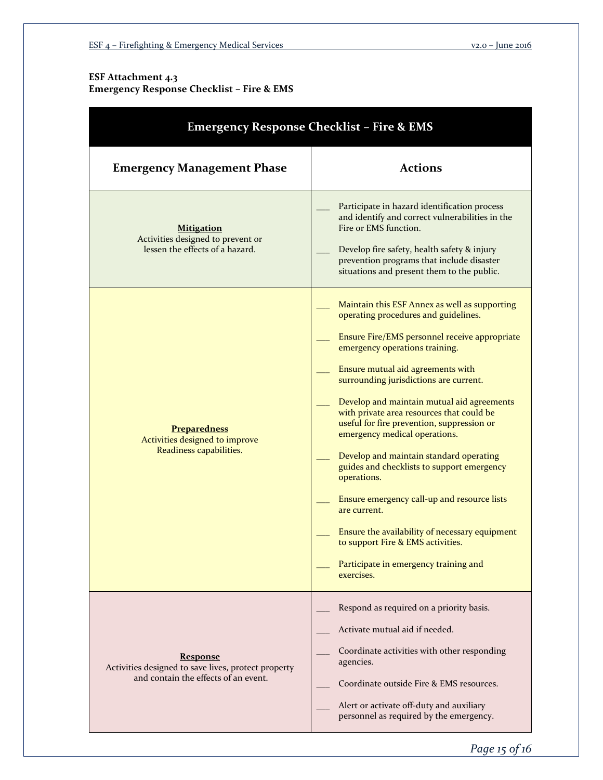# **ESF Attachment 4.3 Emergency Response Checklist – Fire & EMS**

| <b>Emergency Response Checklist - Fire &amp; EMS</b>                                                           |                                                                                                                                                                                                                                                                                                                                                                                                                                                                                                                                                                                                                                                                                                                                                        |  |
|----------------------------------------------------------------------------------------------------------------|--------------------------------------------------------------------------------------------------------------------------------------------------------------------------------------------------------------------------------------------------------------------------------------------------------------------------------------------------------------------------------------------------------------------------------------------------------------------------------------------------------------------------------------------------------------------------------------------------------------------------------------------------------------------------------------------------------------------------------------------------------|--|
| <b>Emergency Management Phase</b>                                                                              | <b>Actions</b>                                                                                                                                                                                                                                                                                                                                                                                                                                                                                                                                                                                                                                                                                                                                         |  |
| <b>Mitigation</b><br>Activities designed to prevent or<br>lessen the effects of a hazard.                      | Participate in hazard identification process<br>and identify and correct vulnerabilities in the<br>Fire or EMS function.<br>Develop fire safety, health safety & injury<br>prevention programs that include disaster<br>situations and present them to the public.                                                                                                                                                                                                                                                                                                                                                                                                                                                                                     |  |
| <b>Preparedness</b><br>Activities designed to improve<br>Readiness capabilities.                               | Maintain this ESF Annex as well as supporting<br>operating procedures and guidelines.<br>Ensure Fire/EMS personnel receive appropriate<br>emergency operations training.<br>Ensure mutual aid agreements with<br>surrounding jurisdictions are current.<br>Develop and maintain mutual aid agreements<br>with private area resources that could be<br>useful for fire prevention, suppression or<br>emergency medical operations.<br>Develop and maintain standard operating<br>guides and checklists to support emergency<br>operations.<br>Ensure emergency call-up and resource lists<br>are current.<br>Ensure the availability of necessary equipment<br>to support Fire & EMS activities.<br>Participate in emergency training and<br>exercises. |  |
| <b>Response</b><br>Activities designed to save lives, protect property<br>and contain the effects of an event. | Respond as required on a priority basis.<br>Activate mutual aid if needed.<br>Coordinate activities with other responding<br>agencies.<br>Coordinate outside Fire & EMS resources.<br>Alert or activate off-duty and auxiliary<br>personnel as required by the emergency.                                                                                                                                                                                                                                                                                                                                                                                                                                                                              |  |